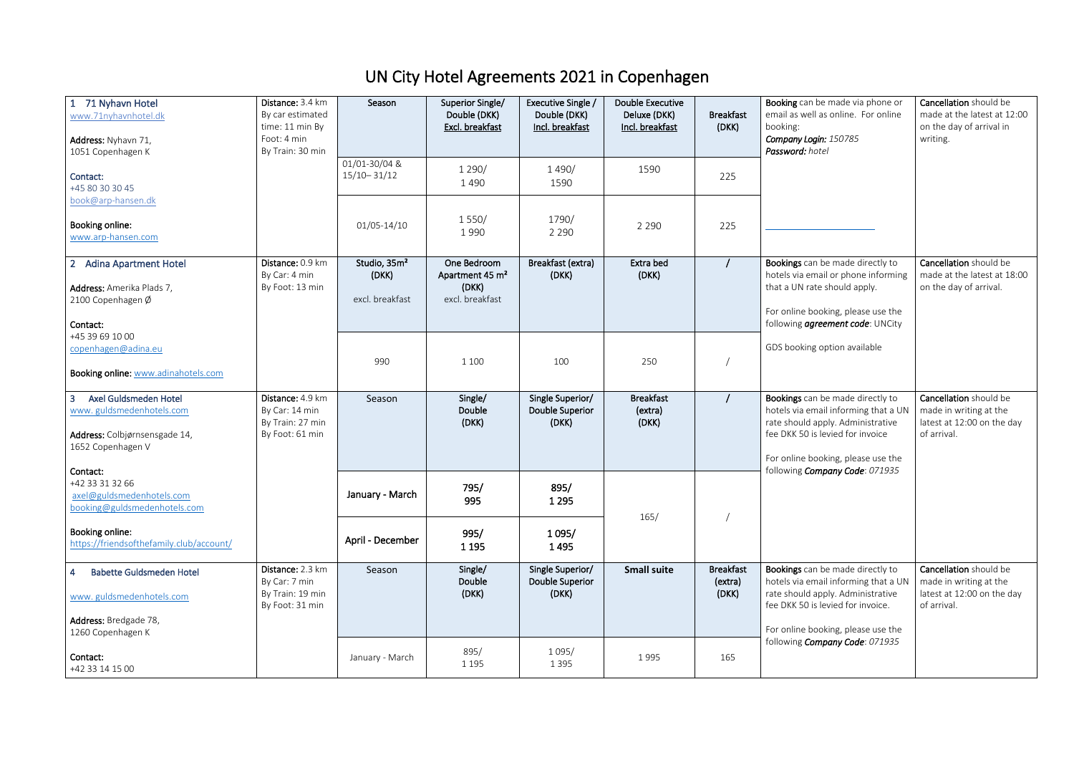## UN City Hotel Agreements 2021 in Copenhagen

| 71 Nyhavn Hotel<br>www.71nyhavnhotel.dk<br>Address: Nyhavn 71,<br>1051 Copenhagen K                                       | Distance: 3.4 km<br>By car estimated<br>time: 11 min By<br>Foot: 4 min<br>By Train: 30 min | Season                                               | Superior Single/<br>Double (DKK)<br>Excl. breakfast                    | Executive Single /<br>Double (DKK)<br>Incl. breakfast | <b>Double Executive</b><br>Deluxe (DKK)<br>Incl. breakfast | <b>Breakfast</b><br>(DKK)            | Booking can be made via phone or<br>email as well as online. For online<br>booking:<br>Company Login: 150785<br>Password: hotel                                                           | Cancellation should be<br>made at the latest at 12:00<br>on the day of arrival in<br>writing. |
|---------------------------------------------------------------------------------------------------------------------------|--------------------------------------------------------------------------------------------|------------------------------------------------------|------------------------------------------------------------------------|-------------------------------------------------------|------------------------------------------------------------|--------------------------------------|-------------------------------------------------------------------------------------------------------------------------------------------------------------------------------------------|-----------------------------------------------------------------------------------------------|
| Contact:<br>+45 80 30 30 45                                                                                               |                                                                                            | 01/01-30/04 &<br>$15/10 - 31/12$                     | 1290/<br>1490                                                          | 1 4 9 0 /<br>1590                                     | 1590                                                       | 225                                  |                                                                                                                                                                                           |                                                                                               |
| book@arp-hansen.dk<br>Booking online:<br>www.arp-hansen.com                                                               |                                                                                            | 01/05-14/10                                          | 1550/<br>1990                                                          | 1790/<br>2 2 9 0                                      | 2 2 9 0                                                    | 225                                  |                                                                                                                                                                                           |                                                                                               |
| <b>Adina Apartment Hotel</b><br>2 <sup>2</sup><br>Address: Amerika Plads 7,<br>2100 Copenhagen Ø<br>Contact:              | Distance: 0.9 km<br>By Car: 4 min<br>By Foot: 13 min                                       | Studio, 35m <sup>2</sup><br>(DKK)<br>excl. breakfast | One Bedroom<br>Apartment 45 m <sup>2</sup><br>(DKK)<br>excl. breakfast | Breakfast (extra)<br>(DKK)                            | Extra bed<br>(DKK)                                         |                                      | Bookings can be made directly to<br>hotels via email or phone informing<br>that a UN rate should apply.<br>For online booking, please use the<br>following <i>agreement code</i> : UNCity | Cancellation should be<br>made at the latest at 18:00<br>on the day of arrival.               |
| +45 39 69 10 00<br>copenhagen@adina.eu<br>Booking online: www.adinahotels.com                                             |                                                                                            | 990                                                  | 1 100                                                                  | 100                                                   | 250                                                        |                                      | GDS booking option available                                                                                                                                                              |                                                                                               |
| Axel Guldsmeden Hotel<br>$\overline{3}$<br>www.guldsmedenhotels.com<br>Address: Colbjørnsensgade 14,<br>1652 Copenhagen V | Distance: 4.9 km<br>By Car: 14 min<br>By Train: 27 min<br>By Foot: 61 min                  | Season                                               | Single/<br>Double<br>(DKK)                                             | Single Superior/<br>Double Superior<br>(DKK)          | <b>Breakfast</b><br>(extra)<br>(DKK)                       |                                      | Bookings can be made directly to<br>hotels via email informing that a UN<br>rate should apply. Administrative<br>fee DKK 50 is levied for invoice<br>For online booking, please use the   | Cancellation should be<br>made in writing at the<br>latest at 12:00 on the day<br>of arrival. |
| Contact:<br>+42 33 31 32 66<br>axel@guldsmedenhotels.com<br>booking@guldsmedenhotels.com                                  |                                                                                            | January - March                                      | 795/<br>995                                                            | 895/<br>1 2 9 5                                       | 165/                                                       |                                      | following Company Code: 071935                                                                                                                                                            |                                                                                               |
| Booking online:<br>https://friendsofthefamily.club/account/                                                               |                                                                                            | April - December                                     | 995/<br>1 1 9 5                                                        | 1095/<br>1495                                         |                                                            |                                      |                                                                                                                                                                                           |                                                                                               |
| <b>Babette Guldsmeden Hotel</b><br>$\overline{4}$<br>www.guldsmedenhotels.com                                             | Distance: 2.3 km<br>By Car: 7 min<br>By Train: 19 min<br>By Foot: 31 min                   | Season                                               | Single/<br>Double<br>(DKK)                                             | Single Superior/<br>Double Superior<br>(DKK)          | <b>Small suite</b>                                         | <b>Breakfast</b><br>(extra)<br>(DKK) | Bookings can be made directly to<br>hotels via email informing that a UN<br>rate should apply. Administrative<br>fee DKK 50 is levied for invoice.                                        | Cancellation should be<br>made in writing at the<br>latest at 12:00 on the day<br>of arrival. |
| Address: Bredgade 78,<br>1260 Copenhagen K                                                                                |                                                                                            |                                                      |                                                                        |                                                       |                                                            |                                      | For online booking, please use the<br>following Company Code: 071935                                                                                                                      |                                                                                               |
| Contact:<br>+42 33 14 15 00                                                                                               |                                                                                            | January - March                                      | 895/<br>1 1 9 5                                                        | 1 0 9 5 /<br>1 3 9 5                                  | 1995                                                       | 165                                  |                                                                                                                                                                                           |                                                                                               |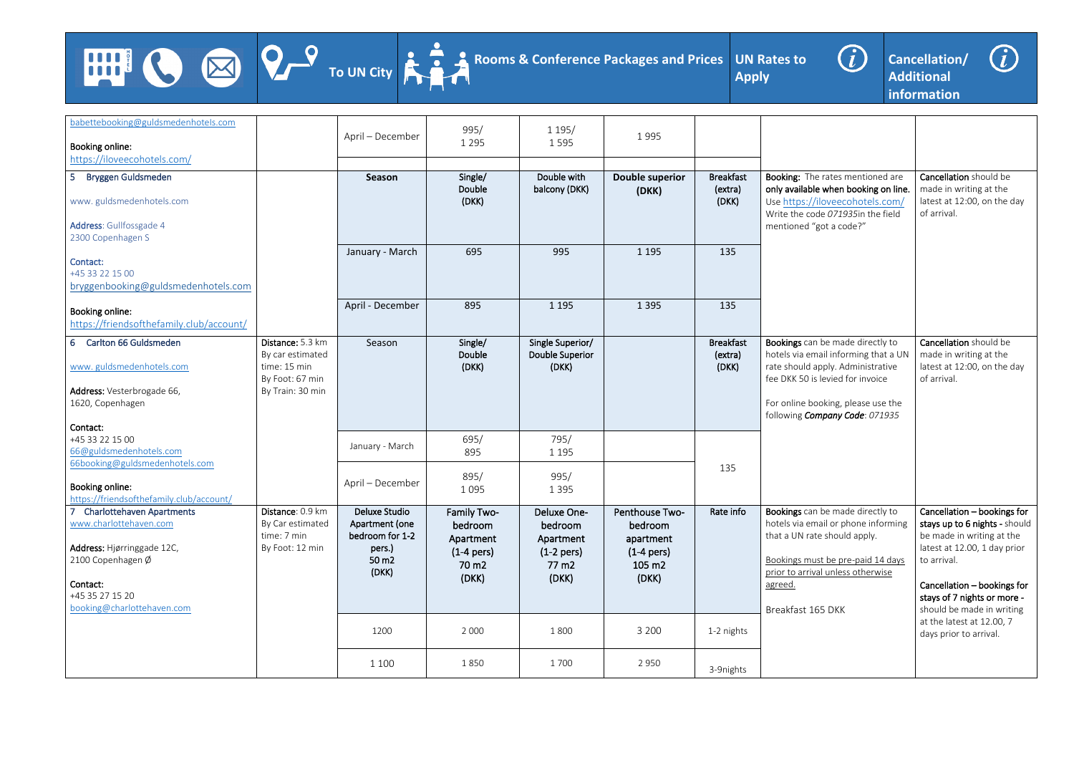





| babettebooking@guldsmedenhotels.com<br>Booking online:<br>https://iloveecohotels.com/                                                                                                        |                                                                                             | April - December                                                               | 995/<br>1 2 9 5                                                                   | 1 1 9 5 /<br>1595                                                     | 1995                                                                      |                                             |                                                                                                                                                                                                                           |                                                                                                                                                                                                                                     |
|----------------------------------------------------------------------------------------------------------------------------------------------------------------------------------------------|---------------------------------------------------------------------------------------------|--------------------------------------------------------------------------------|-----------------------------------------------------------------------------------|-----------------------------------------------------------------------|---------------------------------------------------------------------------|---------------------------------------------|---------------------------------------------------------------------------------------------------------------------------------------------------------------------------------------------------------------------------|-------------------------------------------------------------------------------------------------------------------------------------------------------------------------------------------------------------------------------------|
| 5 <sub>5</sub><br><b>Bryggen Guldsmeden</b><br>www.guldsmedenhotels.com<br>Address: Gullfossgade 4<br>2300 Copenhagen S                                                                      |                                                                                             | Season<br>January - March                                                      | Single/<br>Double<br>(DKK)<br>695                                                 | Double with<br>balcony (DKK)<br>995                                   | <b>Double superior</b><br>(DKK)<br>1 1 9 5                                | <b>Breakfast</b><br>(extra)<br>(DKK)<br>135 | Booking: The rates mentioned are<br>only available when booking on line.<br>Use https://iloveecohotels.com/<br>Write the code 071935in the field<br>mentioned "got a code?"                                               | Cancellation should be<br>made in writing at the<br>latest at 12:00, on the day<br>of arrival.                                                                                                                                      |
| Contact:<br>+45 33 22 15 00<br>bryggenbooking@guldsmedenhotels.com                                                                                                                           |                                                                                             | April - December                                                               | 895                                                                               | 1 1 9 5                                                               | 1 3 9 5                                                                   | 135                                         |                                                                                                                                                                                                                           |                                                                                                                                                                                                                                     |
| Booking online:<br>https://friendsofthefamily.club/account/                                                                                                                                  |                                                                                             |                                                                                |                                                                                   |                                                                       |                                                                           |                                             |                                                                                                                                                                                                                           |                                                                                                                                                                                                                                     |
| <b>Carlton 66 Guldsmeden</b><br>$6^{\circ}$<br>www.guldsmedenhotels.com<br>Address: Vesterbrogade 66,<br>1620, Copenhagen<br>Contact:                                                        | Distance: 5.3 km<br>By car estimated<br>time: 15 min<br>By Foot: 67 min<br>By Train: 30 min | Season                                                                         | Single/<br>Double<br>(DKK)                                                        | Single Superior/<br><b>Double Superior</b><br>(DKK)                   |                                                                           | <b>Breakfast</b><br>(extra)<br>(DKK)        | Bookings can be made directly to<br>hotels via email informing that a UN<br>rate should apply. Administrative<br>fee DKK 50 is levied for invoice<br>For online booking, please use the<br>following Company Code: 071935 | Cancellation should be<br>made in writing at the<br>latest at 12:00, on the day<br>of arrival.                                                                                                                                      |
| +45 33 22 15 00<br>66@guldsmedenhotels.com<br>66booking@guldsmedenhotels.com                                                                                                                 |                                                                                             | January - March                                                                | 695/<br>895                                                                       | 795/<br>1 1 9 5                                                       |                                                                           |                                             |                                                                                                                                                                                                                           |                                                                                                                                                                                                                                     |
| Booking online:<br>https://friendsofthefamily.club/account/                                                                                                                                  |                                                                                             | April – December                                                               | 895/<br>1 0 9 5                                                                   | 995/<br>1 3 9 5                                                       |                                                                           | 135                                         |                                                                                                                                                                                                                           |                                                                                                                                                                                                                                     |
| $\overline{7}$<br><b>Charlottehaven Apartments</b><br>www.charlottehaven.com<br>Address: Hjørringgade 12C,<br>2100 Copenhagen Ø<br>Contact:<br>+45 35 27 15 20<br>booking@charlottehaven.com | Distance: 0.9 km<br>By Car estimated<br>time: 7 min<br>By Foot: 12 min                      | Deluxe Studio<br>Apartment (one<br>bedroom for 1-2<br>pers.)<br>50 m2<br>(DKK) | Family Two-<br>bedroom<br>Apartment<br>$(1-4$ pers)<br>70 m <sub>2</sub><br>(DKK) | Deluxe One-<br>bedroom<br>Apartment<br>$(1-2$ pers)<br>77 m2<br>(DKK) | Penthouse Two-<br>bedroom<br>apartment<br>$(1-4$ pers)<br>105 m2<br>(DKK) | Rate info                                   | Bookings can be made directly to<br>hotels via email or phone informing<br>that a UN rate should apply.<br>Bookings must be pre-paid 14 days<br>prior to arrival unless otherwise<br>agreed.<br>Breakfast 165 DKK         | Cancellation - bookings for<br>stays up to 6 nights - should<br>be made in writing at the<br>latest at 12.00, 1 day prior<br>to arrival.<br>Cancellation - bookings for<br>stays of 7 nights or more -<br>should be made in writing |
|                                                                                                                                                                                              |                                                                                             | 1200                                                                           | 2 0 0 0                                                                           | 1800                                                                  | 3 2 0 0                                                                   | 1-2 nights                                  |                                                                                                                                                                                                                           | at the latest at 12.00, 7<br>days prior to arrival.                                                                                                                                                                                 |
|                                                                                                                                                                                              |                                                                                             | 1 1 0 0                                                                        | 1850                                                                              | 1700                                                                  | 2 9 5 0                                                                   | 3-9nights                                   |                                                                                                                                                                                                                           |                                                                                                                                                                                                                                     |

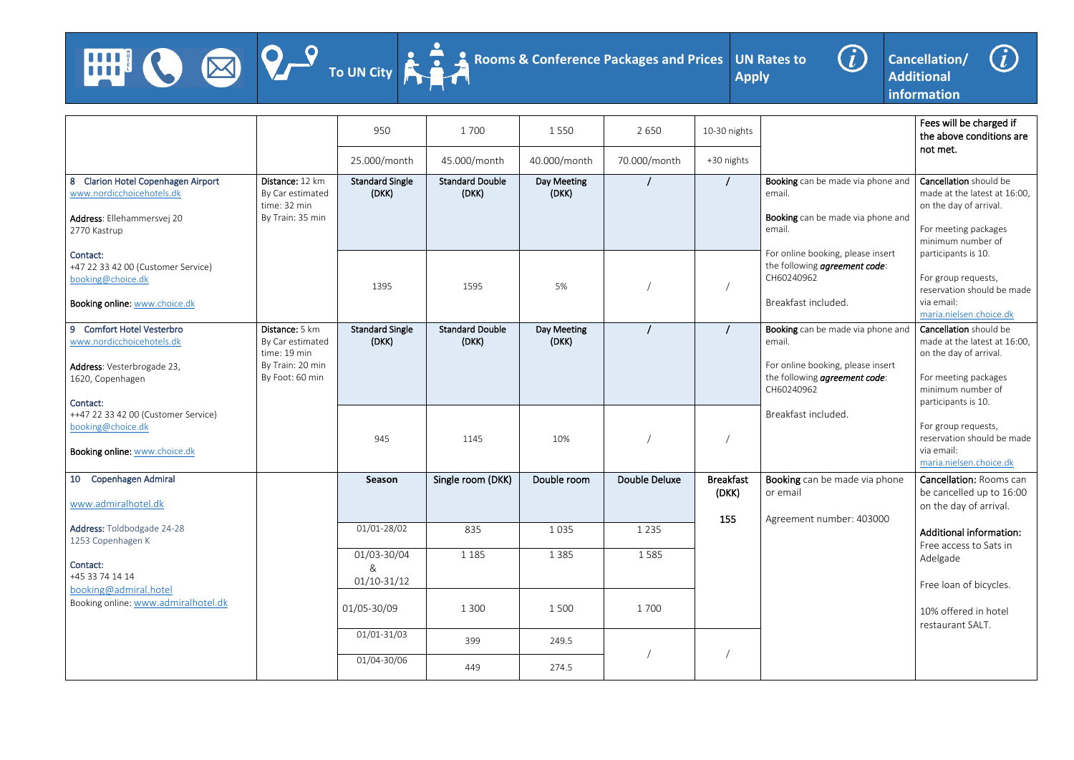**HIP!** 





**Cancellation/ Additional information**



Fees will be charged if the above conditions are not met. h be made via phone and be made via phone and oooking, please insert ng *agreement code*: ncluded. Cancellation should be made at the latest at 16:00, on the day of arrival. For meeting packages minimum number of participants is 10. For group requests, reservation should be made via email: maria.nielsen.choice.dk h be made via phone and oooking, please insert ng *agreement code*:  $52<sup>2</sup>$ ncluded. **Cancellation** should be made at the latest at 16:00, on the day of arrival. For meeting packages minimum number of participants is 10. For group requests, reservation should be made via email: maria.nielsen.choice.dk an be made via phone number: 403000 Cancellation: Rooms can be cancelled up to 16:00 on the day of arrival. Additional information: Free access to Sats in Adelgade Free loan of bicycles. 10% offered in hotel restaurant SALT.

|                                                                     |                                                    | 950                             | 1700                            | 1550                 | 2 6 5 0              | 10-30 nights              |                                              |
|---------------------------------------------------------------------|----------------------------------------------------|---------------------------------|---------------------------------|----------------------|----------------------|---------------------------|----------------------------------------------|
|                                                                     |                                                    | 25.000/month                    | 45.000/month                    | 40.000/month         | 70.000/month         | +30 nights                |                                              |
| 8 Clarion Hotel Copenhagen Airport<br>www.nordicchoicehotels.dk     | Distance: 12 km<br>By Car estimated                | <b>Standard Single</b><br>(DKK) | <b>Standard Double</b><br>(DKK) | Day Meeting<br>(DKK) |                      |                           | Booking can<br>email.                        |
| Address: Ellehammersvej 20<br>2770 Kastrup                          | time: 32 min<br>By Train: 35 min                   |                                 |                                 |                      |                      |                           | <b>Booking can</b><br>email.                 |
| Contact:<br>+47 22 33 42 00 (Customer Service)<br>booking@choice.dk |                                                    | 1395                            | 1595                            | 5%                   |                      |                           | For online bo<br>the following<br>CH60240962 |
| Booking online: www.choice.dk                                       |                                                    |                                 |                                 |                      |                      |                           | Breakfast in                                 |
| 9 Comfort Hotel Vesterbro<br>www.nordicchoicehotels.dk              | Distance: 5 km<br>By Car estimated<br>time: 19 min | <b>Standard Single</b><br>(DKK) | <b>Standard Double</b><br>(DKK) | Day Meeting<br>(DKK) |                      |                           | <b>Booking can</b><br>email.                 |
| Address: Vesterbrogade 23,<br>1620, Copenhagen                      | By Train: 20 min<br>By Foot: 60 min                |                                 |                                 |                      |                      |                           | For online bo<br>the following<br>CH60240962 |
| Contact:<br>++47 22 33 42 00 (Customer Service)                     |                                                    |                                 |                                 |                      |                      |                           | Breakfast in                                 |
| booking@choice.dk                                                   |                                                    | 945                             | 1145                            | 10%                  |                      |                           |                                              |
| Booking online: www.choice.dk                                       |                                                    |                                 |                                 |                      |                      |                           |                                              |
| Copenhagen Admiral<br>10                                            |                                                    | Season                          | Single room (DKK)               | Double room          | <b>Double Deluxe</b> | <b>Breakfast</b><br>(DKK) | <b>Booking car</b><br>or email               |
| www.admiralhotel.dk                                                 |                                                    |                                 |                                 |                      |                      |                           |                                              |
| Address: Toldbodgade 24-28<br>1253 Copenhagen K                     |                                                    | 01/01-28/02                     | 835                             | 1035                 | 1 2 3 5              | 155                       | Agreement                                    |
| Contact:<br>+45 33 74 14 14                                         |                                                    | 01/03-30/04<br>&<br>01/10-31/12 | 1 1 8 5                         | 1 3 8 5              | 1585                 |                           |                                              |
| booking@admiral.hotel<br>Booking online: www.admiralhotel.dk        |                                                    | 01/05-30/09                     | 1 3 0 0                         | 1500                 | 1700                 |                           |                                              |
|                                                                     |                                                    | $01/01 - 31/03$                 | 399                             | 249.5                |                      |                           |                                              |
|                                                                     |                                                    | 01/04-30/06                     | 449                             | 274.5                |                      |                           |                                              |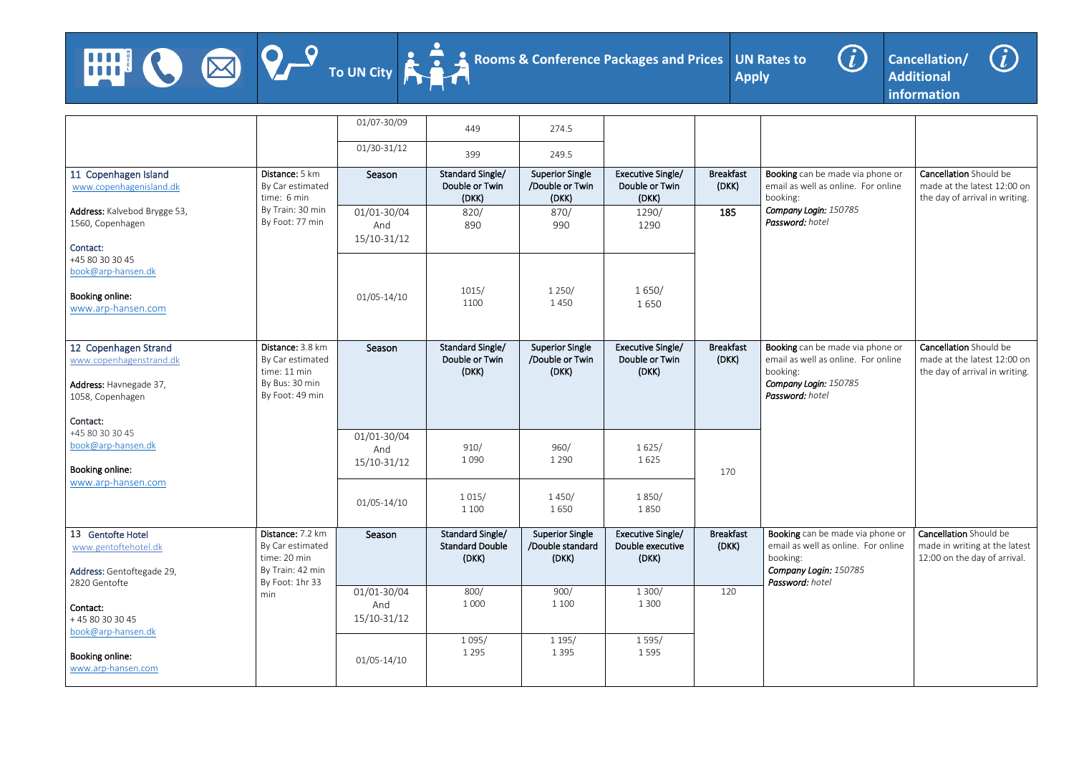





|                                                                                               |                                                                                             | 01/07-30/09                       | 449                                                 | 274.5                                               |                                                |                           |                                                                                                                                 |                                                                                                |
|-----------------------------------------------------------------------------------------------|---------------------------------------------------------------------------------------------|-----------------------------------|-----------------------------------------------------|-----------------------------------------------------|------------------------------------------------|---------------------------|---------------------------------------------------------------------------------------------------------------------------------|------------------------------------------------------------------------------------------------|
|                                                                                               |                                                                                             | $01/30-31/12$                     | 399                                                 | 249.5                                               |                                                |                           |                                                                                                                                 |                                                                                                |
| 11 Copenhagen Island<br>www.copenhagenisland.dk                                               | Distance: 5 km<br>By Car estimated<br>time: 6 min                                           | Season                            | Standard Single/<br>Double or Twin<br>(DKK)         | <b>Superior Single</b><br>/Double or Twin<br>(DKK)  | Executive Single/<br>Double or Twin<br>(DKK)   | <b>Breakfast</b><br>(DKK) | Booking can be made via phone or<br>email as well as online. For online<br>booking:                                             | <b>Cancellation</b> Should be<br>made at the latest 12:00 on<br>the day of arrival in writing. |
| Address: Kalvebod Brygge 53,<br>1560, Copenhagen<br>Contact:                                  | By Train: 30 min<br>By Foot: 77 min                                                         | 01/01-30/04<br>And<br>15/10-31/12 | 820/<br>890                                         | 870/<br>990                                         | 1290/<br>1290                                  | 185                       | Company Login: 150785<br>Password: hotel                                                                                        |                                                                                                |
| +45 80 30 30 45<br>book@arp-hansen.dk                                                         |                                                                                             |                                   |                                                     |                                                     |                                                |                           |                                                                                                                                 |                                                                                                |
| Booking online:<br>www.arp-hansen.com                                                         |                                                                                             | $01/05 - 14/10$                   | 1015/<br>1100                                       | 1250/<br>1450                                       | 1650/<br>1650                                  |                           |                                                                                                                                 |                                                                                                |
| 12 Copenhagen Strand<br>www.copenhagenstrand.dk<br>Address: Havnegade 37,<br>1058, Copenhagen | Distance: 3.8 km<br>By Car estimated<br>time: 11 min<br>By Bus: 30 min<br>By Foot: 49 min   | Season                            | Standard Single/<br>Double or Twin<br>(DKK)         | <b>Superior Single</b><br>/Double or Twin<br>(DKK)  | Executive Single/<br>Double or Twin<br>(DKK)   | <b>Breakfast</b><br>(DKK) | Booking can be made via phone or<br>email as well as online. For online<br>booking:<br>Company Login: 150785<br>Password: hotel | <b>Cancellation</b> Should be<br>made at the latest 12:00 on<br>the day of arrival in writing. |
| Contact:<br>+45 80 30 30 45<br>book@arp-hansen.dk<br>Booking online:                          |                                                                                             | 01/01-30/04<br>And<br>15/10-31/12 | 910/<br>1090                                        | 960/<br>1 2 9 0                                     | 1625/<br>1625                                  | 170                       |                                                                                                                                 |                                                                                                |
| www.arp-hansen.com                                                                            |                                                                                             | 01/05-14/10                       | 1015/<br>1 100                                      | 1450/<br>1650                                       | 1850/<br>1850                                  |                           |                                                                                                                                 |                                                                                                |
| 13 Gentofte Hotel<br>www.gentoftehotel.dk<br>Address: Gentoftegade 29,<br>2820 Gentofte       | Distance: 7.2 km<br>By Car estimated<br>time: 20 min<br>By Train: 42 min<br>By Foot: 1hr 33 | Season                            | Standard Single/<br><b>Standard Double</b><br>(DKK) | <b>Superior Single</b><br>/Double standard<br>(DKK) | Executive Single/<br>Double executive<br>(DKK) | <b>Breakfast</b><br>(DKK) | Booking can be made via phone or<br>email as well as online. For online<br>booking:<br>Company Login: 150785<br>Password: hotel | Cancellation Should be<br>made in writing at the latest<br>12:00 on the day of arrival.        |
| Contact:<br>+45 80 30 30 45                                                                   | min                                                                                         | 01/01-30/04<br>And<br>15/10-31/12 | 800/<br>1 0 0 0                                     | 900/<br>1 100                                       | 1 300/<br>1 3 0 0                              | 120                       |                                                                                                                                 |                                                                                                |
| book@arp-hansen.dk<br>Booking online:<br>www.arp-hansen.com                                   |                                                                                             | $01/05 - 14/10$                   | 1095/<br>1 2 9 5                                    | 1195/<br>1 3 9 5                                    | 1595/<br>1595                                  |                           |                                                                                                                                 |                                                                                                |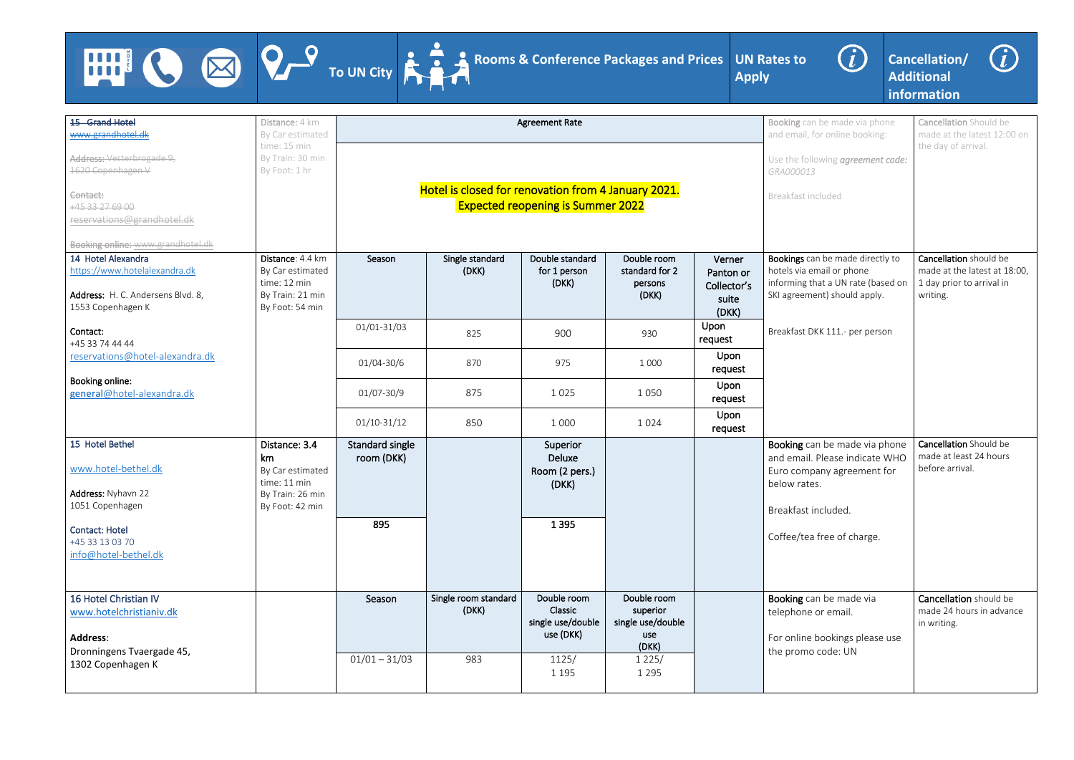HUI





**Cancellation/ Additional information**



In be made via phone for online booking: lowing *agreement code:* ncluded Cancellation Should be made at the latest 12:00 on the day of arrival. an be made directly to mail or phone that a UN rate (based on ent) should apply. KK 111.- per person Cancellation should be made at the latest at 18:00, 1 day prior to arrival in writing. an be made via phone Please indicate WHO bany agreement for es. included. a free of charge. Cancellation Should be made at least 24 hours before arrival. an be made via or email. bookings please use code: UN Cancellation should be made 24 hours in advance in writing.

| <b>15 Grand Hotel</b><br>www.grandhotel.dk                                                                                                                | Distance: 4 km<br>By Car estimated<br>time: 15 min                                             |                                      |                                                     | <b>Agreement Rate</b>                                           |                                                              |                                                      | <b>Booking car</b><br>and email, f                                               |
|-----------------------------------------------------------------------------------------------------------------------------------------------------------|------------------------------------------------------------------------------------------------|--------------------------------------|-----------------------------------------------------|-----------------------------------------------------------------|--------------------------------------------------------------|------------------------------------------------------|----------------------------------------------------------------------------------|
| Address: Vesterbrogade 9,<br>1620 Copenhagen V                                                                                                            | By Train: 30 min<br>By Foot: 1 hr                                                              |                                      |                                                     |                                                                 |                                                              |                                                      | Use the foll<br>GRA000013                                                        |
| Contact:<br>+45 33 27 69 00<br>reservations@grandhotel.dk                                                                                                 |                                                                                                |                                      | Hotel is closed for renovation from 4 January 2021. | <b>Expected reopening is Summer 2022</b>                        |                                                              |                                                      | Breakfast in                                                                     |
| <b>Booking online: www.grandhotel.dk</b><br>14 Hotel Alexandra<br>https://www.hotelalexandra.dk<br>Address: H. C. Andersens Blvd. 8,<br>1553 Copenhagen K | Distance: 4.4 km<br>By Car estimated<br>time: 12 min<br>By Train: 21 min<br>By Foot: 54 min    | Season                               | Single standard<br>(DKK)                            | Double standard<br>for 1 person<br>(DKK)                        | Double room<br>standard for 2<br>persons<br>(DKK)            | Verner<br>Panton or<br>Collector's<br>suite<br>(DKK) | <b>Bookings</b> ca<br>hotels via er<br>informing th<br>SKI agreem                |
| Contact:<br>+45 33 74 44 44                                                                                                                               |                                                                                                | 01/01-31/03                          | 825                                                 | 900                                                             | 930                                                          | Upon<br>request                                      | Breakfast D                                                                      |
| reservations@hotel-alexandra.dk                                                                                                                           |                                                                                                | 01/04-30/6                           | 870                                                 | 975                                                             | 1 0 0 0                                                      | Upon<br>request                                      |                                                                                  |
| Booking online:<br>general@hotel-alexandra.dk                                                                                                             |                                                                                                | 01/07-30/9                           | 875                                                 | 1025                                                            | 1 0 5 0                                                      | Upon<br>request                                      |                                                                                  |
|                                                                                                                                                           |                                                                                                | $01/10-31/12$                        | 850                                                 | 1 0 0 0                                                         | 1024                                                         | Upon<br>request                                      |                                                                                  |
| 15 Hotel Bethel<br>www.hotel-bethel.dk<br>Address: Nyhavn 22<br>1051 Copenhagen<br><b>Contact: Hotel</b><br>+45 33 13 03 70                               | Distance: 3.4<br>km<br>By Car estimated<br>time: 11 min<br>By Train: 26 min<br>By Foot: 42 min | Standard single<br>room (DKK)<br>895 |                                                     | Superior<br><b>Deluxe</b><br>Room (2 pers.)<br>(DKK)<br>1 3 9 5 |                                                              |                                                      | Booking ca<br>and email.<br>Euro comp<br>below rate<br>Breakfast i<br>Coffee/tea |
| info@hotel-bethel.dk                                                                                                                                      |                                                                                                |                                      |                                                     |                                                                 |                                                              |                                                      |                                                                                  |
| 16 Hotel Christian IV<br>www.hotelchristianiv.dk<br><b>Address:</b><br>Dronningens Tvaergade 45,                                                          |                                                                                                | Season                               | Single room standard<br>(DKK)                       | Double room<br>Classic<br>single use/double<br>use (DKK)        | Double room<br>superior<br>single use/double<br>use<br>(DKK) |                                                      | Booking ca<br>telephone<br>For online<br>the promo                               |
| 1302 Copenhagen K                                                                                                                                         |                                                                                                | $01/01 - 31/03$                      | 983                                                 | 1125/<br>1 1 9 5                                                | 1225/<br>1 2 9 5                                             |                                                      |                                                                                  |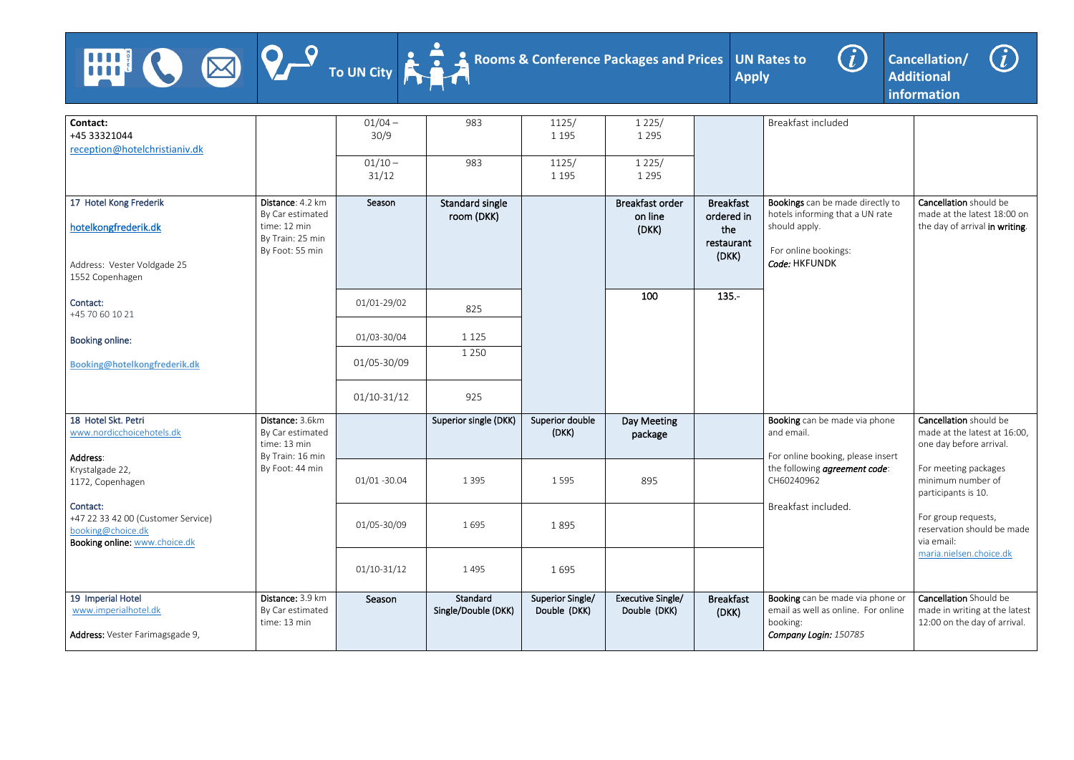





| Contact:                           |                  | $01/04 -$     | 983                   | 1125/            | 1225/                  |                  | Breakfast included                  |                                |
|------------------------------------|------------------|---------------|-----------------------|------------------|------------------------|------------------|-------------------------------------|--------------------------------|
| +45 33321044                       |                  | 30/9          |                       | 1 1 9 5          | 1 2 9 5                |                  |                                     |                                |
| reception@hotelchristianiv.dk      |                  |               |                       |                  |                        |                  |                                     |                                |
|                                    |                  |               |                       |                  |                        |                  |                                     |                                |
|                                    |                  | $01/10 -$     | 983                   | 1125/            | 1225/                  |                  |                                     |                                |
|                                    |                  | 31/12         |                       | 1 1 9 5          | 1 2 9 5                |                  |                                     |                                |
|                                    |                  |               |                       |                  |                        |                  |                                     |                                |
| 17 Hotel Kong Frederik             | Distance: 4.2 km | Season        | Standard single       |                  | <b>Breakfast order</b> | <b>Breakfast</b> | Bookings can be made directly to    | Cancellation should be         |
|                                    | By Car estimated |               |                       |                  |                        |                  | hotels informing that a UN rate     | made at the latest 18:00 on    |
|                                    | time: 12 min     |               | room (DKK)            |                  | on line                | ordered in       |                                     |                                |
| hotelkongfrederik.dk               |                  |               |                       |                  | (DKK)                  | the              | should apply.                       | the day of arrival in writing. |
|                                    | By Train: 25 min |               |                       |                  |                        | restaurant       |                                     |                                |
|                                    | By Foot: 55 min  |               |                       |                  |                        | (DKK)            | For online bookings:                |                                |
| Address: Vester Voldgade 25        |                  |               |                       |                  |                        |                  | Code: HKFUNDK                       |                                |
| 1552 Copenhagen                    |                  |               |                       |                  |                        |                  |                                     |                                |
|                                    |                  |               |                       |                  |                        |                  |                                     |                                |
|                                    |                  |               |                       |                  | 100                    | $135 -$          |                                     |                                |
| Contact:                           |                  | 01/01-29/02   | 825                   |                  |                        |                  |                                     |                                |
| +45 70 60 10 21                    |                  |               |                       |                  |                        |                  |                                     |                                |
|                                    |                  |               |                       |                  |                        |                  |                                     |                                |
| <b>Booking online:</b>             |                  | 01/03-30/04   | 1 1 2 5               |                  |                        |                  |                                     |                                |
|                                    |                  |               | 1 2 5 0               |                  |                        |                  |                                     |                                |
| Booking@hotelkongfrederik.dk       |                  | 01/05-30/09   |                       |                  |                        |                  |                                     |                                |
|                                    |                  |               |                       |                  |                        |                  |                                     |                                |
|                                    |                  |               |                       |                  |                        |                  |                                     |                                |
|                                    |                  | $01/10-31/12$ | 925                   |                  |                        |                  |                                     |                                |
|                                    |                  |               |                       |                  |                        |                  |                                     |                                |
| 18 Hotel Skt. Petri                | Distance: 3.6km  |               | Superior single (DKK) | Superior double  | Day Meeting            |                  | Booking can be made via phone       | Cancellation should be         |
| www.nordicchoicehotels.dk          |                  |               |                       |                  |                        |                  | and email.                          | made at the latest at 16:00,   |
|                                    | By Car estimated |               |                       | (DKK)            | package                |                  |                                     |                                |
|                                    | time: 13 min     |               |                       |                  |                        |                  |                                     | one day before arrival.        |
| Address:                           | By Train: 16 min |               |                       |                  |                        |                  | For online booking, please insert   |                                |
| Krystalgade 22,                    | By Foot: 44 min  |               |                       |                  |                        |                  | the following agreement code:       | For meeting packages           |
| 1172, Copenhagen                   |                  | 01/01 -30.04  | 1 3 9 5               | 1595             | 895                    |                  | CH60240962                          | minimum number of              |
|                                    |                  |               |                       |                  |                        |                  |                                     | participants is 10.            |
| Contact:                           |                  |               |                       |                  |                        |                  | Breakfast included.                 |                                |
|                                    |                  |               |                       |                  |                        |                  |                                     | For group requests,            |
| +47 22 33 42 00 (Customer Service) |                  | 01/05-30/09   | 1695                  | 1895             |                        |                  |                                     |                                |
| booking@choice.dk                  |                  |               |                       |                  |                        |                  |                                     | reservation should be made     |
| Booking online: www.choice.dk      |                  |               |                       |                  |                        |                  |                                     | via email:                     |
|                                    |                  |               |                       |                  |                        |                  |                                     | maria.nielsen.choice.dk        |
|                                    |                  | $01/10-31/12$ | 1495                  | 1695             |                        |                  |                                     |                                |
|                                    |                  |               |                       |                  |                        |                  |                                     |                                |
|                                    |                  |               |                       |                  |                        |                  |                                     |                                |
| 19 Imperial Hotel                  | Distance: 3.9 km | Season        | Standard              | Superior Single/ | Executive Single/      | <b>Breakfast</b> | Booking can be made via phone or    | Cancellation Should be         |
| www.imperialhotel.dk               | By Car estimated |               | Single/Double (DKK)   | Double (DKK)     | Double (DKK)           | (DKK)            | email as well as online. For online | made in writing at the latest  |
|                                    | time: 13 min     |               |                       |                  |                        |                  | booking:                            | 12:00 on the day of arrival.   |
| Address: Vester Farimagsgade 9,    |                  |               |                       |                  |                        |                  | Company Login: 150785               |                                |
|                                    |                  |               |                       |                  |                        |                  |                                     |                                |

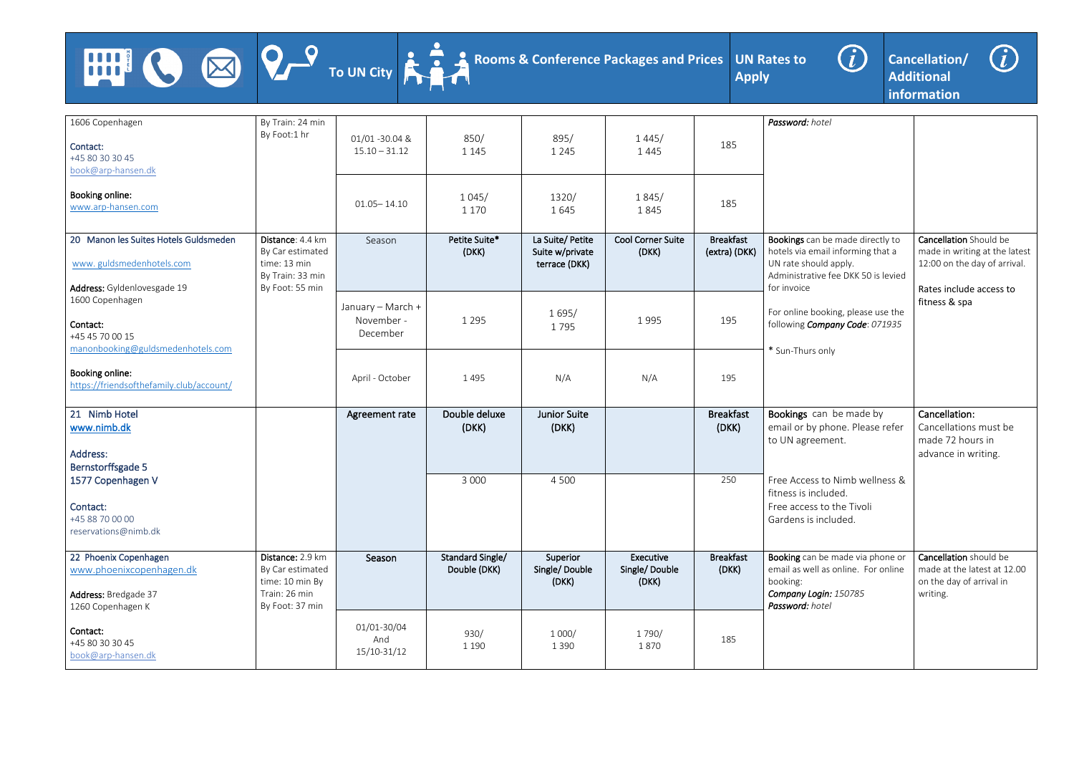





| 1606 Copenhagen<br>Contact:<br>+45 80 30 30 45<br>book@arp-hansen.dk                             | By Train: 24 min<br>By Foot:1 hr                                                            | 01/01 -30.04 &<br>$15.10 - 31.12$           | 850/<br>1 1 4 5                         | 895/<br>1 2 4 5                                     | 1445/<br>1445                       | 185                               | Password: hotel                                                                                                                       |                                                                                               |
|--------------------------------------------------------------------------------------------------|---------------------------------------------------------------------------------------------|---------------------------------------------|-----------------------------------------|-----------------------------------------------------|-------------------------------------|-----------------------------------|---------------------------------------------------------------------------------------------------------------------------------------|-----------------------------------------------------------------------------------------------|
| Booking online:<br>www.arp-hansen.com                                                            |                                                                                             | $01.05 - 14.10$                             | 1045/<br>1 1 7 0                        | 1320/<br>1645                                       | 1845/<br>1845                       | 185                               |                                                                                                                                       |                                                                                               |
| 20 Manon les Suites Hotels Guldsmeden<br>www.guldsmedenhotels.com                                | Distance: 4.4 km<br>By Car estimated<br>time: 13 min<br>By Train: 33 min                    | Season                                      | Petite Suite*<br>(DKK)                  | La Suite/Petite<br>Suite w/private<br>terrace (DKK) | <b>Cool Corner Suite</b><br>(DKK)   | <b>Breakfast</b><br>(extra) (DKK) | Bookings can be made directly to<br>hotels via email informing that a<br>UN rate should apply.<br>Administrative fee DKK 50 is levied | Cancellation Should be<br>made in writing at the latest<br>12:00 on the day of arrival.       |
| Address: Gyldenlovesgade 19<br>1600 Copenhagen<br>Contact:<br>+45 45 70 00 15                    | By Foot: 55 min                                                                             | January - March +<br>November -<br>December | 1 2 9 5                                 | 1695/<br>1795                                       | 1995                                | 195                               | for invoice<br>For online booking, please use the<br>following Company Code: 071935                                                   | Rates include access to<br>fitness & spa                                                      |
| manonbooking@guldsmedenhotels.com<br>Booking online:<br>https://friendsofthefamily.club/account/ |                                                                                             | April - October                             | 1495                                    | N/A                                                 | N/A                                 | 195                               | * Sun-Thurs only                                                                                                                      |                                                                                               |
| 21 Nimb Hotel<br>www.nimb.dk<br>Address:<br><b>Bernstorffsgade 5</b>                             |                                                                                             | Agreement rate                              | Double deluxe<br>(DKK)                  | <b>Junior Suite</b><br>(DKK)                        |                                     | <b>Breakfast</b><br>(DKK)         | Bookings can be made by<br>email or by phone. Please refer<br>to UN agreement.                                                        | Cancellation:<br>Cancellations must be<br>made 72 hours in<br>advance in writing.             |
| 1577 Copenhagen V<br>Contact:<br>+45 88 70 00 00<br>reservations@nimb.dk                         |                                                                                             |                                             | 3 0 0 0                                 | 4 5 0 0                                             |                                     | 250                               | Free Access to Nimb wellness &<br>fitness is included.<br>Free access to the Tivoli<br>Gardens is included.                           |                                                                                               |
| 22 Phoenix Copenhagen<br>www.phoenixcopenhagen.dk<br>Address: Bredgade 37<br>1260 Copenhagen K   | Distance: 2.9 km<br>By Car estimated<br>time: 10 min By<br>Train: 26 min<br>By Foot: 37 min | Season                                      | <b>Standard Single/</b><br>Double (DKK) | Superior<br>Single/Double<br>(DKK)                  | Executive<br>Single/Double<br>(DKK) | <b>Breakfast</b><br>(DKK)         | Booking can be made via phone or<br>email as well as online. For online<br>booking:<br>Company Login: 150785<br>Password: hotel       | Cancellation should be<br>made at the latest at 12.00<br>on the day of arrival in<br>writing. |
| Contact:<br>+45 80 30 30 45<br>book@arp-hansen.dk                                                |                                                                                             | 01/01-30/04<br>And<br>15/10-31/12           | 930/<br>1 1 9 0                         | 1000/<br>1 3 9 0                                    | 1790/<br>1870                       | 185                               |                                                                                                                                       |                                                                                               |

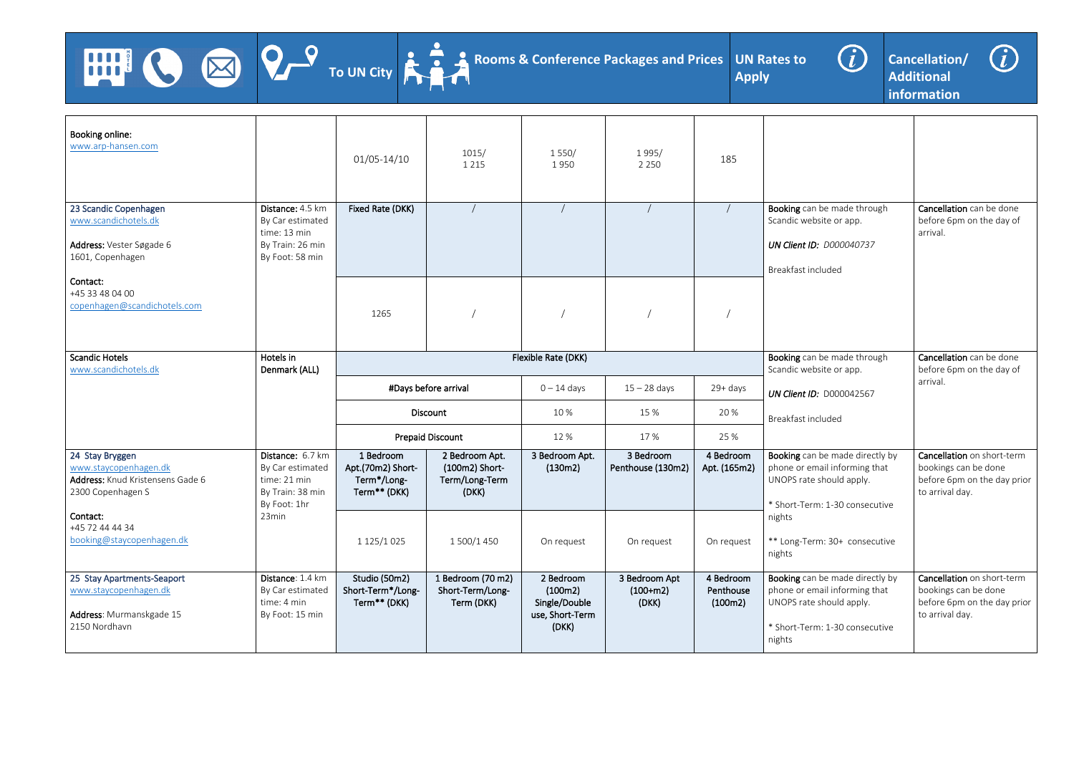





| Booking online:<br>www.arp-hansen.com                                                             |                                                                                             | $01/05 - 14/10$                                               | 1015/<br>1 2 1 5                                            | 1550/<br>1950                                                     | 1995/<br>2 2 5 0                     | 185                               |                                                                                                                                          |                                                                                                      |
|---------------------------------------------------------------------------------------------------|---------------------------------------------------------------------------------------------|---------------------------------------------------------------|-------------------------------------------------------------|-------------------------------------------------------------------|--------------------------------------|-----------------------------------|------------------------------------------------------------------------------------------------------------------------------------------|------------------------------------------------------------------------------------------------------|
| 23 Scandic Copenhagen<br>www.scandichotels.dk<br>Address: Vester Søgade 6<br>1601, Copenhagen     | Distance: 4.5 km<br>By Car estimated<br>time: 13 min<br>By Train: 26 min<br>By Foot: 58 min | Fixed Rate (DKK)                                              |                                                             |                                                                   |                                      |                                   | Booking can be made through<br>Scandic website or app.<br><b>UN Client ID: D000040737</b><br>Breakfast included                          | Cancellation can be done<br>before 6pm on the day of<br>arrival.                                     |
| Contact:<br>+45 33 48 04 00<br>copenhagen@scandichotels.com                                       |                                                                                             | 1265                                                          |                                                             |                                                                   |                                      |                                   |                                                                                                                                          |                                                                                                      |
| <b>Scandic Hotels</b><br>www.scandichotels.dk                                                     | Hotels in<br>Denmark (ALL)                                                                  |                                                               |                                                             | Flexible Rate (DKK)                                               |                                      |                                   | Booking can be made through<br>Scandic website or app.                                                                                   | Cancellation can be done<br>before 6pm on the day of                                                 |
|                                                                                                   |                                                                                             |                                                               | #Days before arrival                                        | $0 - 14$ days                                                     | $15 - 28$ days                       | 29+ days                          | <b>UN Client ID: D000042567</b>                                                                                                          | arrival.                                                                                             |
|                                                                                                   |                                                                                             |                                                               | Discount                                                    | 10%                                                               | 15 %                                 | 20 %                              | Breakfast included                                                                                                                       |                                                                                                      |
|                                                                                                   |                                                                                             |                                                               | <b>Prepaid Discount</b>                                     | 12 %                                                              | 17%                                  | 25 %                              |                                                                                                                                          |                                                                                                      |
| 24 Stay Bryggen<br>www.staycopenhagen.dk<br>Address: Knud Kristensens Gade 6<br>2300 Copenhagen S | Distance: 6.7 km<br>By Car estimated<br>time: 21 min<br>By Train: 38 min<br>By Foot: 1hr    | 1 Bedroom<br>Apt.(70m2) Short-<br>Term*/Long-<br>Term** (DKK) | 2 Bedroom Apt.<br>(100m2) Short-<br>Term/Long-Term<br>(DKK) | 3 Bedroom Apt.<br>(130m2)                                         | 3 Bedroom<br>Penthouse (130m2)       | 4 Bedroom<br>Apt. (165m2)         | Booking can be made directly by<br>phone or email informing that<br>UNOPS rate should apply.<br>* Short-Term: 1-30 consecutive           | Cancellation on short-term<br>bookings can be done<br>before 6pm on the day prior<br>to arrival day. |
| Contact:<br>+45 72 44 44 34<br>booking@staycopenhagen.dk                                          | 23min                                                                                       | 1 125/1 025                                                   | 1 500/1 450                                                 | On request                                                        | On request                           | On request                        | nights<br>** Long-Term: 30+ consecutive<br>nights                                                                                        |                                                                                                      |
| 25 Stay Apartments-Seaport<br>www.staycopenhagen.dk<br>Address: Murmanskgade 15<br>2150 Nordhavn  | Distance: 1.4 km<br>By Car estimated<br>time: 4 min<br>By Foot: 15 min                      | Studio (50m2)<br>Short-Term*/Long-<br>Term** (DKK)            | 1 Bedroom (70 m2)<br>Short-Term/Long-<br>Term (DKK)         | 2 Bedroom<br>(100m2)<br>Single/Double<br>use, Short-Term<br>(DKK) | 3 Bedroom Apt<br>$(100+m2)$<br>(DKK) | 4 Bedroom<br>Penthouse<br>(100m2) | Booking can be made directly by<br>phone or email informing that<br>UNOPS rate should apply.<br>* Short-Term: 1-30 consecutive<br>nights | Cancellation on short-term<br>bookings can be done<br>before 6pm on the day prior<br>to arrival day. |

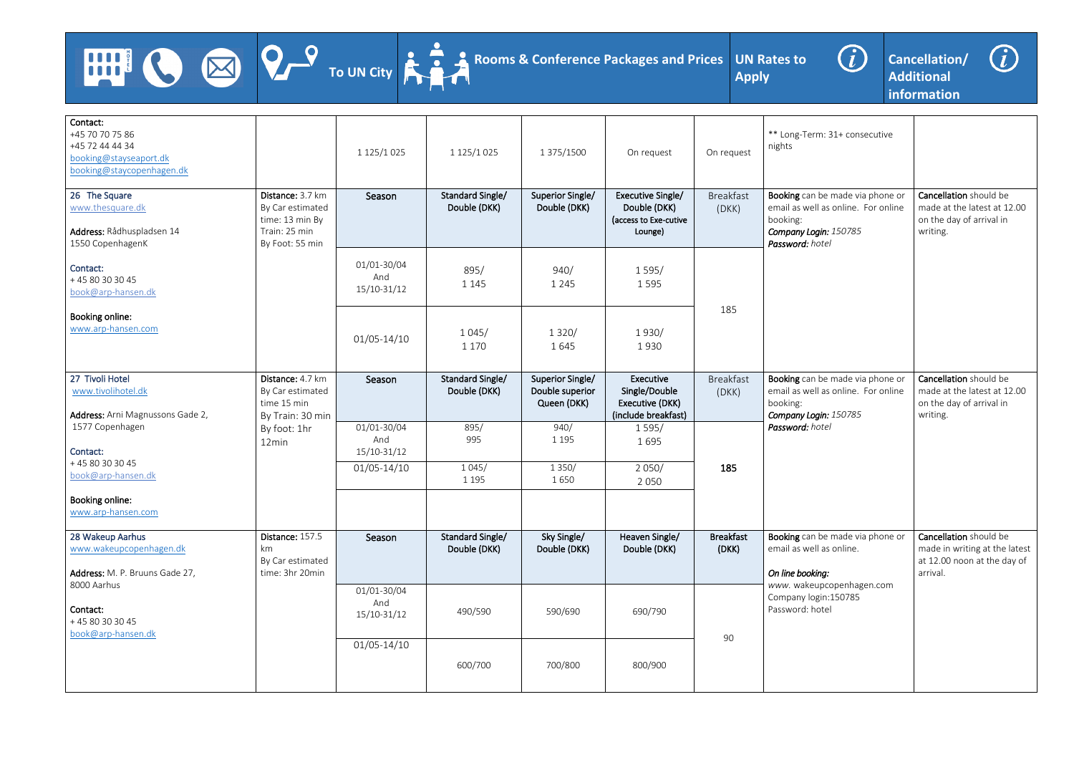





| Contact:<br>+45 70 70 75 86<br>+45 72 44 44 34<br>booking@stayseaport.dk<br>booking@staycopenhagen.dk<br>26 The Square | Distance: 3.7 km                                                        | 1 125/1 025                       | 1 125/1 025<br>Standard Single/  | 1 375/1500<br>Superior Single/                     | On request<br>Executive Single/                                      | On request<br><b>Breakfast</b> | ** Long-Term: 31+ consecutive<br>nights<br>Booking can be made via phone or                                  | Cancellation should be                                                                             |
|------------------------------------------------------------------------------------------------------------------------|-------------------------------------------------------------------------|-----------------------------------|----------------------------------|----------------------------------------------------|----------------------------------------------------------------------|--------------------------------|--------------------------------------------------------------------------------------------------------------|----------------------------------------------------------------------------------------------------|
| www.thesquare.dk<br>Address: Rådhuspladsen 14<br>1550 CopenhagenK                                                      | By Car estimated<br>time: 13 min By<br>Train: 25 min<br>By Foot: 55 min | Season                            | Double (DKK)                     | Double (DKK)                                       | Double (DKK)<br>(access to Exe-cutive<br>Lounge)                     | (DKK)                          | email as well as online. For online<br>booking:<br>Company Login: 150785<br>Password: hotel                  | made at the latest at 12.00<br>on the day of arrival in<br>writing.                                |
| Contact:<br>+45 80 30 30 45<br>book@arp-hansen.dk                                                                      |                                                                         | 01/01-30/04<br>And<br>15/10-31/12 | 895/<br>1 1 4 5                  | 940/<br>1 2 4 5                                    | 1595/<br>1595                                                        |                                |                                                                                                              |                                                                                                    |
| Booking online:<br>www.arp-hansen.com                                                                                  |                                                                         | $01/05 - 14/10$                   | 1045/<br>1 1 7 0                 | 1320/<br>1645                                      | 1930/<br>1930                                                        | 185                            |                                                                                                              |                                                                                                    |
| 27 Tivoli Hotel<br>www.tivolihotel.dk<br>Address: Arni Magnussons Gade 2,                                              | Distance: 4.7 km<br>By Car estimated<br>time 15 min<br>By Train: 30 min | Season                            | Standard Single/<br>Double (DKK) | Superior Single/<br>Double superior<br>Queen (DKK) | Executive<br>Single/Double<br>Executive (DKK)<br>(include breakfast) | <b>Breakfast</b><br>(DKK)      | Booking can be made via phone or<br>email as well as online. For online<br>booking:<br>Company Login: 150785 | Cancellation should be<br>made at the latest at 12.00<br>on the day of arrival in<br>writing.      |
| 1577 Copenhagen<br>Contact:                                                                                            | By foot: 1hr<br>12min                                                   | 01/01-30/04<br>And<br>15/10-31/12 | 895/<br>995                      | 940/<br>1 1 9 5                                    | 1595/<br>1695                                                        |                                | Password: hotel                                                                                              |                                                                                                    |
| +45 80 30 30 45<br>book@arp-hansen.dk                                                                                  |                                                                         | $01/05 - 14/10$                   | 1045/<br>1 1 9 5                 | 1 3 5 0 /<br>1650                                  | 2050/<br>2 0 5 0                                                     | 185                            |                                                                                                              |                                                                                                    |
| Booking online:<br>www.arp-hansen.com                                                                                  |                                                                         |                                   |                                  |                                                    |                                                                      |                                |                                                                                                              |                                                                                                    |
| 28 Wakeup Aarhus<br>www.wakeupcopenhagen.dk<br>Address: M. P. Bruuns Gade 27,                                          | Distance: 157.5<br>km<br>By Car estimated<br>time: 3hr 20min            | Season                            | Standard Single/<br>Double (DKK) | Sky Single/<br>Double (DKK)                        | Heaven Single/<br>Double (DKK)                                       | <b>Breakfast</b><br>(DKK)      | Booking can be made via phone or<br>email as well as online.<br>On line booking:                             | Cancellation should be<br>made in writing at the latest<br>at 12.00 noon at the day of<br>arrival. |
| 8000 Aarhus<br>Contact:<br>+45 80 30 30 45<br>book@arp-hansen.dk                                                       |                                                                         | 01/01-30/04<br>And<br>15/10-31/12 | 490/590                          | 590/690                                            | 690/790                                                              |                                | www. wakeupcopenhagen.com<br>Company login: 150785<br>Password: hotel                                        |                                                                                                    |
|                                                                                                                        |                                                                         | $01/05 - 14/10$                   | 600/700                          | 700/800                                            | 800/900                                                              | 90                             |                                                                                                              |                                                                                                    |

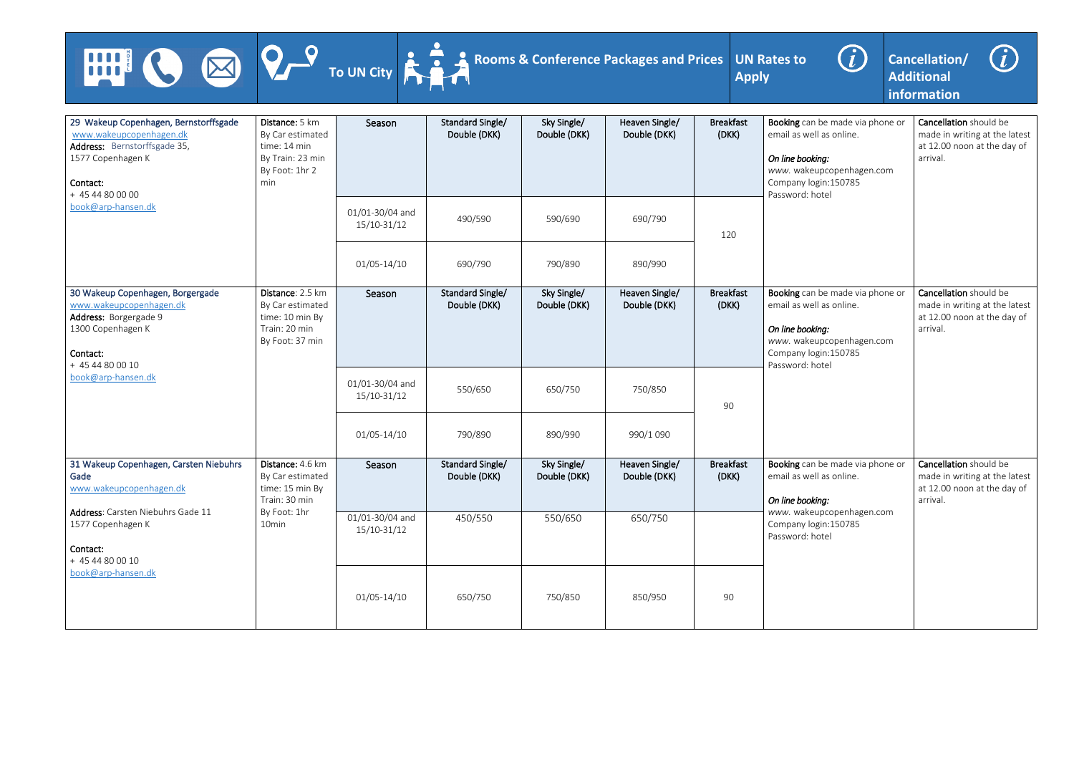



| <b>AND SEARCH</b>                                                                                                                                                                  |                                                                                             | To UN City                     | Rooms & Conference Packages and Prices  |                             |                                | <b>Apply</b>              | $\bigcirc$<br><b>UN Rates to</b>                                                                                                                          | G)<br>Cancellation/<br><b>Additional</b><br>information                                            |
|------------------------------------------------------------------------------------------------------------------------------------------------------------------------------------|---------------------------------------------------------------------------------------------|--------------------------------|-----------------------------------------|-----------------------------|--------------------------------|---------------------------|-----------------------------------------------------------------------------------------------------------------------------------------------------------|----------------------------------------------------------------------------------------------------|
| 29 Wakeup Copenhagen, Bernstorffsgade<br>www.wakeupcopenhagen.dk<br>Address: Bernstorffsgade 35,<br>1577 Copenhagen K<br>Contact:<br>min<br>+ 45 44 80 00 00<br>book@arp-hansen.dk | Distance: 5 km<br>By Car estimated<br>time: 14 min<br>By Train: 23 min<br>By Foot: 1hr 2    | Season                         | <b>Standard Single/</b><br>Double (DKK) | Sky Single/<br>Double (DKK) | Heaven Single/<br>Double (DKK) | <b>Breakfast</b><br>(DKK) | Booking can be made via phone or<br>email as well as online.<br>On line booking:<br>www. wakeupcopenhagen.com<br>Company login: 150785<br>Password: hotel | Cancellation should be<br>made in writing at the latest<br>at 12.00 noon at the day of<br>arrival. |
|                                                                                                                                                                                    |                                                                                             | 01/01-30/04 and<br>15/10-31/12 | 490/590                                 | 590/690                     | 690/790                        | 120                       |                                                                                                                                                           |                                                                                                    |
|                                                                                                                                                                                    |                                                                                             | $01/05 - 14/10$                | 690/790                                 | 790/890                     | 890/990                        |                           |                                                                                                                                                           |                                                                                                    |
| 30 Wakeup Copenhagen, Borgergade<br>www.wakeupcopenhagen.dk<br>Address: Borgergade 9<br>1300 Copenhagen K<br>Contact:<br>+ 45 44 80 00 10                                          | Distance: 2.5 km<br>By Car estimated<br>time: 10 min By<br>Train: 20 min<br>By Foot: 37 min | Season                         | Standard Single/<br>Double (DKK)        | Sky Single/<br>Double (DKK) | Heaven Single/<br>Double (DKK) | <b>Breakfast</b><br>(DKK) | Booking can be made via phone or<br>email as well as online.<br>On line booking:<br>www. wakeupcopenhagen.com<br>Company login: 150785<br>Password: hotel | Cancellation should be<br>made in writing at the latest<br>at 12.00 noon at the day of<br>arrival. |
| book@arp-hansen.dk                                                                                                                                                                 |                                                                                             | 01/01-30/04 and<br>15/10-31/12 | 550/650                                 | 650/750                     | 750/850                        | 90                        |                                                                                                                                                           |                                                                                                    |
|                                                                                                                                                                                    |                                                                                             | $01/05 - 14/10$                | 790/890                                 | 890/990                     | 990/1 090                      |                           |                                                                                                                                                           |                                                                                                    |
| 31 Wakeup Copenhagen, Carsten Niebuhrs<br>Gade<br>www.wakeupcopenhagen.dk                                                                                                          | Distance: 4.6 km<br>By Car estimated<br>time: 15 min By<br>Train: 30 min                    | Season                         | Standard Single/<br>Double (DKK)        | Sky Single/<br>Double (DKK) | Heaven Single/<br>Double (DKK) | <b>Breakfast</b><br>(DKK) | Booking can be made via phone or<br>email as well as online.<br>On line booking:                                                                          | Cancellation should be<br>made in writing at the latest<br>at 12.00 noon at the day of<br>arrival. |
| Address: Carsten Niebuhrs Gade 11<br>1577 Copenhagen K<br>Contact:<br>+ 45 44 80 00 10                                                                                             | By Foot: 1hr<br>10min                                                                       | 01/01-30/04 and<br>15/10-31/12 | 450/550                                 | 550/650                     | 650/750                        |                           | www. wakeupcopenhagen.com<br>Company login: 150785<br>Password: hotel                                                                                     |                                                                                                    |
| book@arp-hansen.dk                                                                                                                                                                 |                                                                                             | $01/05 - 14/10$                | 650/750                                 | 750/850                     | 850/950                        | 90                        |                                                                                                                                                           |                                                                                                    |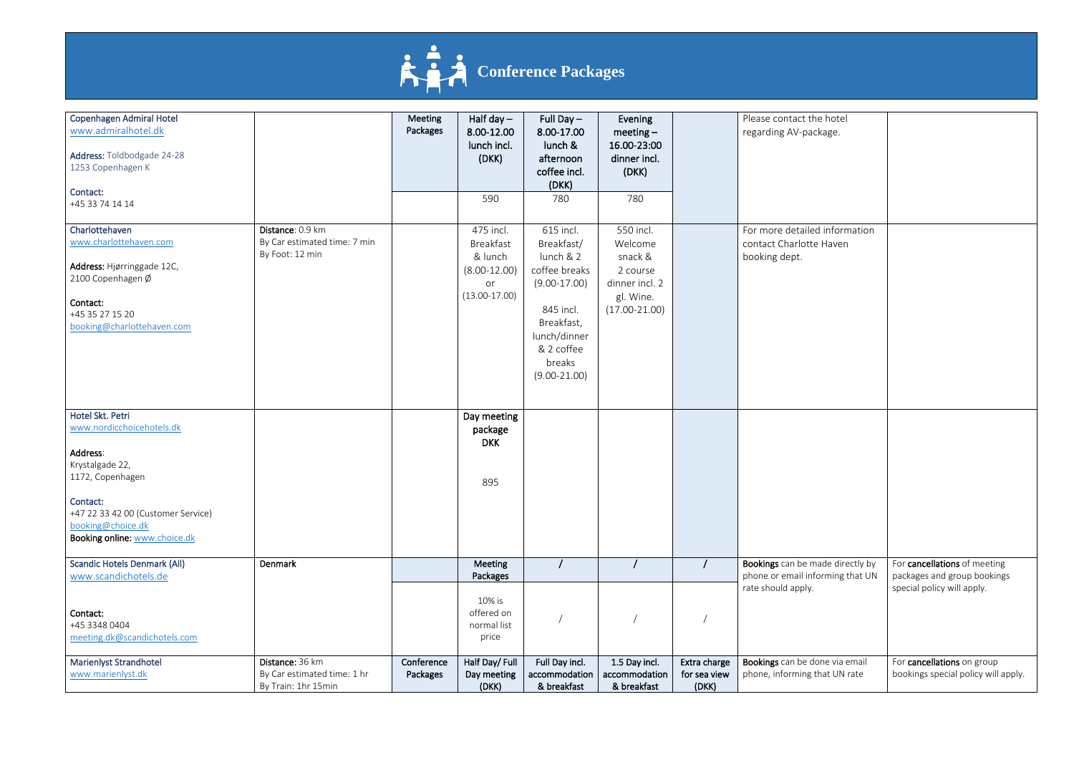

## **Conference Packages**

| <b>Copenhagen Admiral Hotel</b><br>www.admiralhotel.dk<br>Address: Toldbodgade 24-28<br>1253 Copenhagen K                                                |                                                                       | Meeting<br>Packages    | Half day $-$<br>8.00-12.00<br>lunch incl.<br>(DKK)                           | Full Day $-$<br>8.00-17.00<br>lunch &<br>afternoon<br>coffee incl.<br>(DKK)                                                                                  | Evening<br>meeting $-$<br>16.00-23:00<br>dinner incl.<br>(DKK)                                  |                                       | Please contact the hotel<br>regarding AV-package.                         |
|----------------------------------------------------------------------------------------------------------------------------------------------------------|-----------------------------------------------------------------------|------------------------|------------------------------------------------------------------------------|--------------------------------------------------------------------------------------------------------------------------------------------------------------|-------------------------------------------------------------------------------------------------|---------------------------------------|---------------------------------------------------------------------------|
| Contact:<br>+45 33 74 14 14                                                                                                                              |                                                                       |                        | 590                                                                          | 780                                                                                                                                                          | 780                                                                                             |                                       |                                                                           |
| Charlottehaven<br>www.charlottehaven.com<br>Address: Hjørringgade 12C,<br>2100 Copenhagen Ø<br>Contact:<br>+45 35 27 15 20<br>booking@charlottehaven.com | Distance: 0.9 km<br>By Car estimated time: 7 min<br>By Foot: 12 min   |                        | 475 incl.<br>Breakfast<br>& lunch<br>$(8.00-12.00)$<br>or<br>$(13.00-17.00)$ | 615 incl.<br>Breakfast/<br>lunch & 2<br>coffee breaks<br>$(9.00-17.00)$<br>845 incl.<br>Breakfast,<br>lunch/dinner<br>& 2 coffee<br>breaks<br>$(9.00-21.00)$ | 550 incl.<br>Welcome<br>snack &<br>2 course<br>dinner incl. 2<br>gl. Wine.<br>$(17.00 - 21.00)$ |                                       | For more detailed information<br>contact Charlotte Haven<br>booking dept. |
| Hotel Skt. Petri<br>www.nordicchoicehotels.dk                                                                                                            |                                                                       |                        | Day meeting<br>package<br><b>DKK</b>                                         |                                                                                                                                                              |                                                                                                 |                                       |                                                                           |
| Address:<br>Krystalgade 22,<br>1172, Copenhagen                                                                                                          |                                                                       |                        | 895                                                                          |                                                                                                                                                              |                                                                                                 |                                       |                                                                           |
| Contact:<br>+47 22 33 42 00 (Customer Service)<br>booking@choice.dk<br>Booking online: www.choice.dk                                                     |                                                                       |                        |                                                                              |                                                                                                                                                              |                                                                                                 |                                       |                                                                           |
| <b>Scandic Hotels Denmark (All)</b><br>www.scandichotels.de                                                                                              | Denmark                                                               |                        | <b>Meeting</b><br>Packages                                                   |                                                                                                                                                              |                                                                                                 |                                       | Bookings can be made directly by<br>phone or email informing that UN      |
| Contact:<br>+45 3348 0404<br>meeting.dk@scandichotels.com                                                                                                |                                                                       |                        | 10% is<br>offered on<br>normal list<br>price                                 |                                                                                                                                                              |                                                                                                 |                                       | rate should apply.                                                        |
| <b>Marienlyst Strandhotel</b><br>www.marienlyst.dk                                                                                                       | Distance: 36 km<br>By Car estimated time: 1 hr<br>By Train: 1hr 15min | Conference<br>Packages | Half Day/ Full<br>Day meeting<br>(DKK)                                       | Full Day incl.<br>accommodation<br>& breakfast                                                                                                               | 1.5 Day incl.<br>accommodation<br>& breakfast                                                   | Extra charge<br>for sea view<br>(DKK) | Bookings can be done via email<br>phone, informing that UN rate           |

| the hotel<br>package.                          |                                                                                           |
|------------------------------------------------|-------------------------------------------------------------------------------------------|
| iled information<br>otte Haven                 |                                                                                           |
|                                                |                                                                                           |
| e made directly by<br>informing that UN<br>١y. | For cancellations of meeting<br>packages and group bookings<br>special policy will apply. |
| e done via email<br>ng that UN rate            | For cancellations on group<br>bookings special policy will apply.                         |